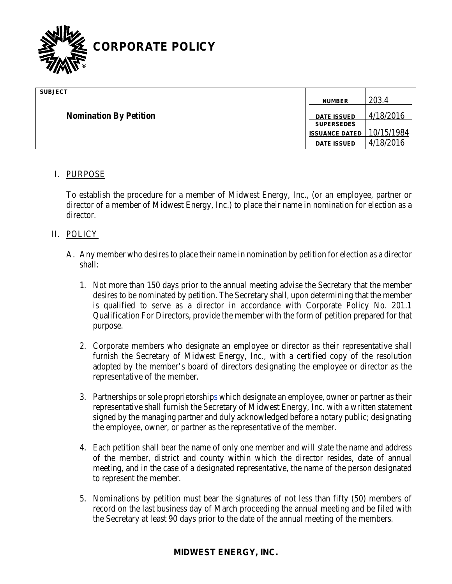

| <b>SUBJECT</b>                |                                         |            |
|-------------------------------|-----------------------------------------|------------|
|                               | <b>NUMBER</b>                           | 203.4      |
| <b>Nomination By Petition</b> | <b>DATE ISSUED</b><br><b>SUPERSEDES</b> | 4/18/2016  |
|                               | <b>ISSUANCE DATED</b>                   | 10/15/1984 |
|                               | <b>DATE ISSUED</b>                      | 4/18/2016  |

### I. PURPOSE

To establish the procedure for a member of Midwest Energy, Inc., (or an employee, partner or director of a member of Midwest Energy, Inc.) to place their name in nomination for election as a director.

#### II. POLICY

- A. Any member who desires to place their name in nomination by petition for election as a director shall:
	- 1. Not more than 150 days prior to the annual meeting advise the Secretary that the member desires to be nominated by petition. The Secretary shall, upon determining that the member is qualified to serve as a director in accordance with Corporate Policy No. 201.1 Qualification For Directors, provide the member with the form of petition prepared for that purpose.
	- 2. Corporate members who designate an employee or director as their representative shall furnish the Secretary of Midwest Energy, Inc., with a certified copy of the resolution adopted by the member's board of directors designating the employee or director as the representative of the member.
	- 3. Partnerships or sole proprietorships which designate an employee, owner or partner as their representative shall furnish the Secretary of Midwest Energy, Inc. with a written statement signed by the managing partner and duly acknowledged before a notary public; designating the employee, owner, or partner as the representative of the member.
	- 4. Each petition shall bear the name of only one member and will state the name and address of the member, district and county within which the director resides, date of annual meeting, and in the case of a designated representative, the name of the person designated to represent the member.
	- 5. Nominations by petition must bear the signatures of not less than fifty (50) members of record on the last business day of March proceeding the annual meeting and be filed with the Secretary at least 90 days prior to the date of the annual meeting of the members.

# **MIDWEST ENERGY, INC.**